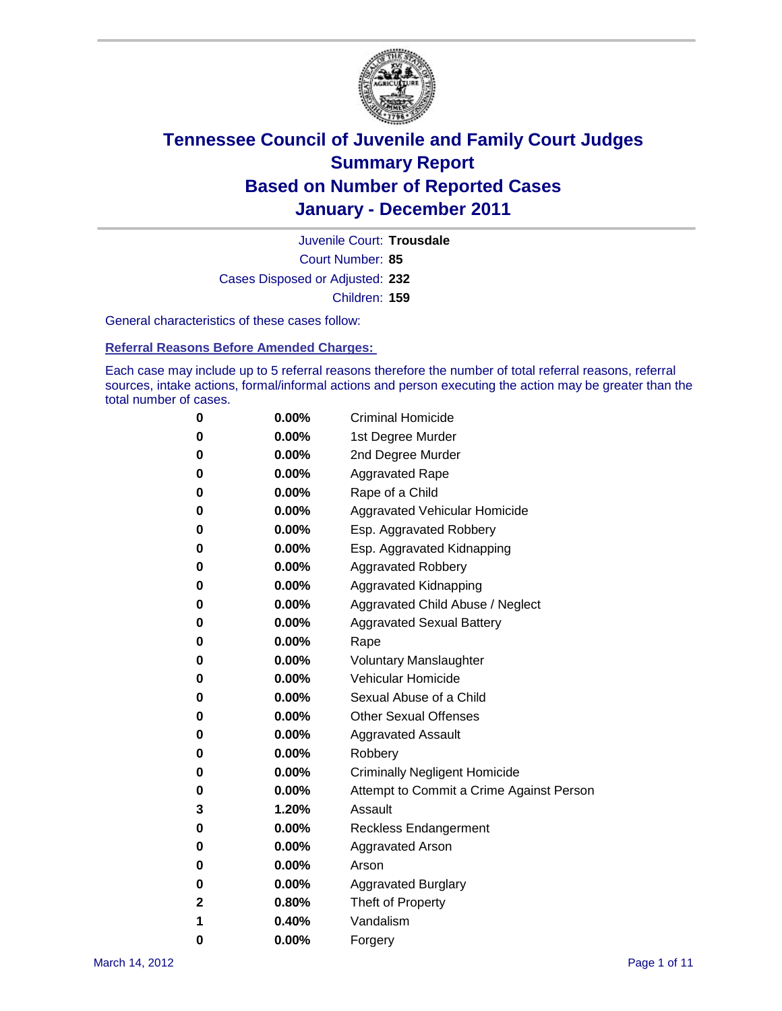

Court Number: **85** Juvenile Court: **Trousdale** Cases Disposed or Adjusted: **232** Children: **159**

General characteristics of these cases follow:

**Referral Reasons Before Amended Charges:** 

Each case may include up to 5 referral reasons therefore the number of total referral reasons, referral sources, intake actions, formal/informal actions and person executing the action may be greater than the total number of cases.

| 0 | $0.00\%$ | <b>Criminal Homicide</b>                 |
|---|----------|------------------------------------------|
| 0 | $0.00\%$ | 1st Degree Murder                        |
| 0 | $0.00\%$ | 2nd Degree Murder                        |
| 0 | $0.00\%$ | <b>Aggravated Rape</b>                   |
| 0 | $0.00\%$ | Rape of a Child                          |
| 0 | $0.00\%$ | Aggravated Vehicular Homicide            |
| 0 | $0.00\%$ | Esp. Aggravated Robbery                  |
| 0 | $0.00\%$ | Esp. Aggravated Kidnapping               |
| 0 | $0.00\%$ | <b>Aggravated Robbery</b>                |
| 0 | $0.00\%$ | Aggravated Kidnapping                    |
| 0 | $0.00\%$ | Aggravated Child Abuse / Neglect         |
| 0 | $0.00\%$ | <b>Aggravated Sexual Battery</b>         |
| 0 | 0.00%    | Rape                                     |
| 0 | $0.00\%$ | <b>Voluntary Manslaughter</b>            |
| 0 | $0.00\%$ | Vehicular Homicide                       |
| 0 | $0.00\%$ | Sexual Abuse of a Child                  |
| 0 | $0.00\%$ | <b>Other Sexual Offenses</b>             |
| 0 | $0.00\%$ | <b>Aggravated Assault</b>                |
| 0 | $0.00\%$ | Robbery                                  |
| 0 | $0.00\%$ | <b>Criminally Negligent Homicide</b>     |
| 0 | $0.00\%$ | Attempt to Commit a Crime Against Person |
| 3 | 1.20%    | Assault                                  |
| 0 | $0.00\%$ | <b>Reckless Endangerment</b>             |
| 0 | 0.00%    | <b>Aggravated Arson</b>                  |
| 0 | $0.00\%$ | Arson                                    |
| 0 | $0.00\%$ | <b>Aggravated Burglary</b>               |
| 2 | 0.80%    | Theft of Property                        |
| 1 | 0.40%    | Vandalism                                |
| 0 | 0.00%    | Forgery                                  |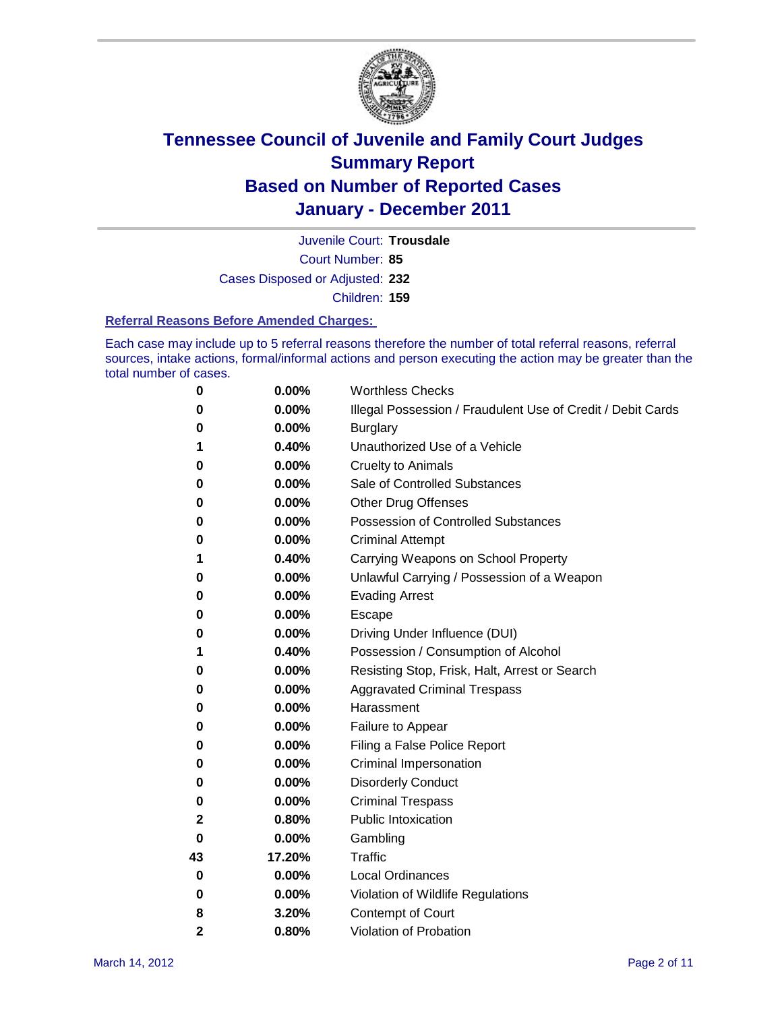

Court Number: **85** Juvenile Court: **Trousdale** Cases Disposed or Adjusted: **232** Children: **159**

#### **Referral Reasons Before Amended Charges:**

Each case may include up to 5 referral reasons therefore the number of total referral reasons, referral sources, intake actions, formal/informal actions and person executing the action may be greater than the total number of cases.

| 0            | 0.00%  | <b>Worthless Checks</b>                                     |
|--------------|--------|-------------------------------------------------------------|
| 0            | 0.00%  | Illegal Possession / Fraudulent Use of Credit / Debit Cards |
| 0            | 0.00%  | <b>Burglary</b>                                             |
| 1            | 0.40%  | Unauthorized Use of a Vehicle                               |
| 0            | 0.00%  | <b>Cruelty to Animals</b>                                   |
| 0            | 0.00%  | Sale of Controlled Substances                               |
| 0            | 0.00%  | <b>Other Drug Offenses</b>                                  |
| 0            | 0.00%  | <b>Possession of Controlled Substances</b>                  |
| 0            | 0.00%  | <b>Criminal Attempt</b>                                     |
| 1            | 0.40%  | Carrying Weapons on School Property                         |
| 0            | 0.00%  | Unlawful Carrying / Possession of a Weapon                  |
| 0            | 0.00%  | <b>Evading Arrest</b>                                       |
| 0            | 0.00%  | Escape                                                      |
| 0            | 0.00%  | Driving Under Influence (DUI)                               |
| 1            | 0.40%  | Possession / Consumption of Alcohol                         |
| 0            | 0.00%  | Resisting Stop, Frisk, Halt, Arrest or Search               |
| 0            | 0.00%  | <b>Aggravated Criminal Trespass</b>                         |
| 0            | 0.00%  | Harassment                                                  |
| 0            | 0.00%  | Failure to Appear                                           |
| 0            | 0.00%  | Filing a False Police Report                                |
| 0            | 0.00%  | Criminal Impersonation                                      |
| 0            | 0.00%  | <b>Disorderly Conduct</b>                                   |
| 0            | 0.00%  | <b>Criminal Trespass</b>                                    |
| 2            | 0.80%  | <b>Public Intoxication</b>                                  |
| 0            | 0.00%  | Gambling                                                    |
| 43           | 17.20% | <b>Traffic</b>                                              |
| 0            | 0.00%  | <b>Local Ordinances</b>                                     |
| 0            | 0.00%  | Violation of Wildlife Regulations                           |
| 8            | 3.20%  | Contempt of Court                                           |
| $\mathbf{2}$ | 0.80%  | Violation of Probation                                      |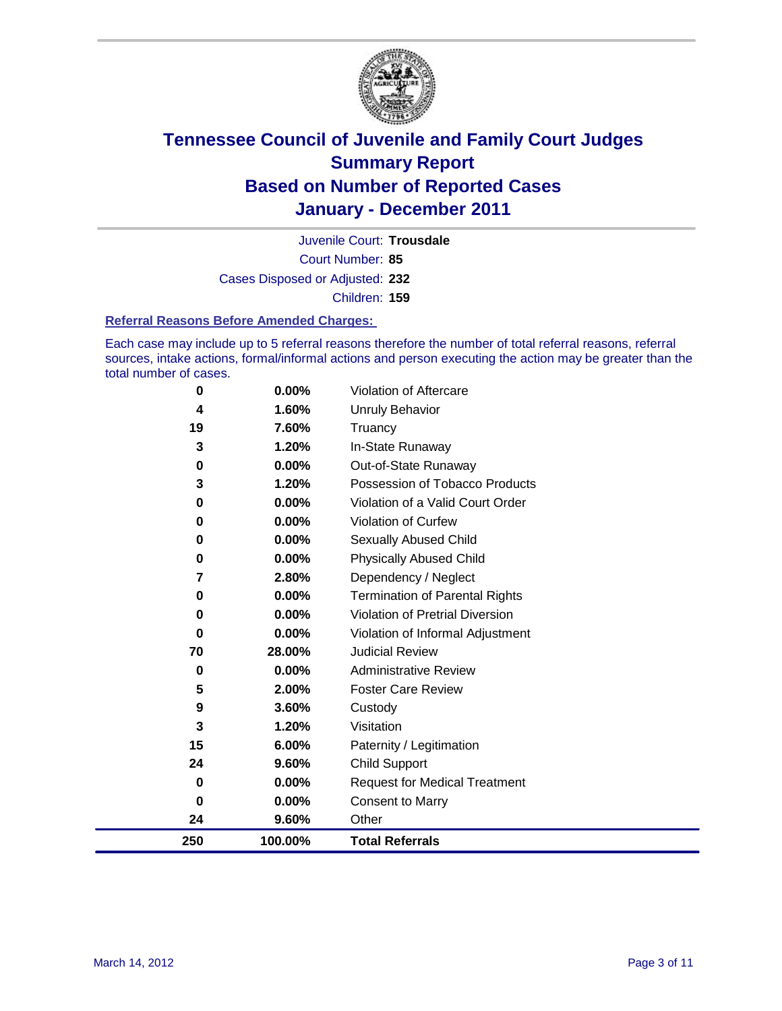

Court Number: **85** Juvenile Court: **Trousdale** Cases Disposed or Adjusted: **232** Children: **159**

#### **Referral Reasons Before Amended Charges:**

Each case may include up to 5 referral reasons therefore the number of total referral reasons, referral sources, intake actions, formal/informal actions and person executing the action may be greater than the total number of cases.

| 0                       | 0.00%    | <b>Violation of Aftercare</b>          |
|-------------------------|----------|----------------------------------------|
| $\overline{\mathbf{4}}$ | 1.60%    | Unruly Behavior                        |
| 19                      | 7.60%    | Truancy                                |
| 3                       | 1.20%    | In-State Runaway                       |
| 0                       | $0.00\%$ | Out-of-State Runaway                   |
| 3                       | 1.20%    | Possession of Tobacco Products         |
| 0                       | 0.00%    | Violation of a Valid Court Order       |
| $\bf{0}$                | $0.00\%$ | <b>Violation of Curfew</b>             |
| 0                       | $0.00\%$ | Sexually Abused Child                  |
| 0                       | 0.00%    | <b>Physically Abused Child</b>         |
| 7                       | 2.80%    | Dependency / Neglect                   |
| 0                       | $0.00\%$ | Termination of Parental Rights         |
| 0                       | $0.00\%$ | <b>Violation of Pretrial Diversion</b> |
| 0                       | 0.00%    | Violation of Informal Adjustment       |
| 70                      | 28.00%   | <b>Judicial Review</b>                 |
| 0                       | 0.00%    | <b>Administrative Review</b>           |
| 5                       | 2.00%    | <b>Foster Care Review</b>              |
| 9                       | 3.60%    | Custody                                |
| 3                       | 1.20%    | Visitation                             |
| 15                      | 6.00%    | Paternity / Legitimation               |
| 24                      | 9.60%    | <b>Child Support</b>                   |
| $\mathbf 0$             | 0.00%    | <b>Request for Medical Treatment</b>   |
| $\bf{0}$                | 0.00%    | <b>Consent to Marry</b>                |
| 24                      | 9.60%    | Other                                  |
| 250                     | 100.00%  | <b>Total Referrals</b>                 |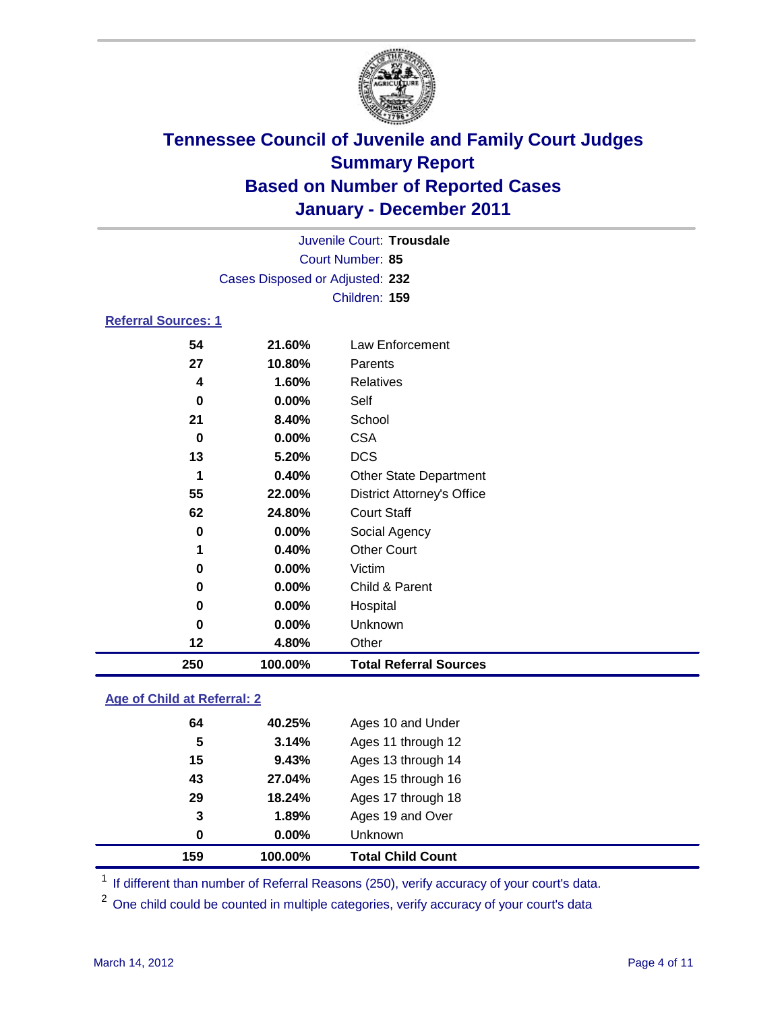

|                            |                                 | Juvenile Court: Trousdale         |  |  |
|----------------------------|---------------------------------|-----------------------------------|--|--|
|                            | Court Number: 85                |                                   |  |  |
|                            | Cases Disposed or Adjusted: 232 |                                   |  |  |
|                            |                                 | Children: 159                     |  |  |
|                            |                                 |                                   |  |  |
| <b>Referral Sources: 1</b> |                                 |                                   |  |  |
| 54                         | 21.60%                          | Law Enforcement                   |  |  |
| 27                         | 10.80%                          | Parents                           |  |  |
| 4                          | 1.60%                           | <b>Relatives</b>                  |  |  |
| 0                          | $0.00\%$                        | Self                              |  |  |
| 21                         | 8.40%                           | School                            |  |  |
| 0                          | $0.00\%$                        | CSA                               |  |  |
| 13                         | 5.20%                           | <b>DCS</b>                        |  |  |
| 1                          | 0.40%                           | <b>Other State Department</b>     |  |  |
| 55                         | 22.00%                          | <b>District Attorney's Office</b> |  |  |
| 62                         | 24.80%                          | <b>Court Staff</b>                |  |  |
| 0                          | $0.00\%$                        | Social Agency                     |  |  |
| 1                          | 0.40%                           | <b>Other Court</b>                |  |  |
|                            |                                 |                                   |  |  |

| 250 | 100.00%  | <b>Total Referral Sources</b> |
|-----|----------|-------------------------------|
| 12  | 4.80%    | Other                         |
| 0   | $0.00\%$ | <b>Unknown</b>                |
| 0   | $0.00\%$ | Hospital                      |
| 0   | $0.00\%$ | Child & Parent                |
| 0   | $0.00\%$ | Victim                        |

### **Age of Child at Referral: 2**

| <b>Total Child Count</b> |                | 100.00% | 159 |  |
|--------------------------|----------------|---------|-----|--|
|                          | <b>Unknown</b> | 0.00%   | 0   |  |
| Ages 19 and Over         |                | 1.89%   | 3   |  |
| Ages 17 through 18       |                | 18.24%  | 29  |  |
| Ages 15 through 16       |                | 27.04%  | 43  |  |
| Ages 13 through 14       |                | 9.43%   | 15  |  |
| Ages 11 through 12       |                | 3.14%   | 5   |  |
| Ages 10 and Under        |                | 40.25%  | 64  |  |
|                          |                |         |     |  |

<sup>1</sup> If different than number of Referral Reasons (250), verify accuracy of your court's data.

<sup>2</sup> One child could be counted in multiple categories, verify accuracy of your court's data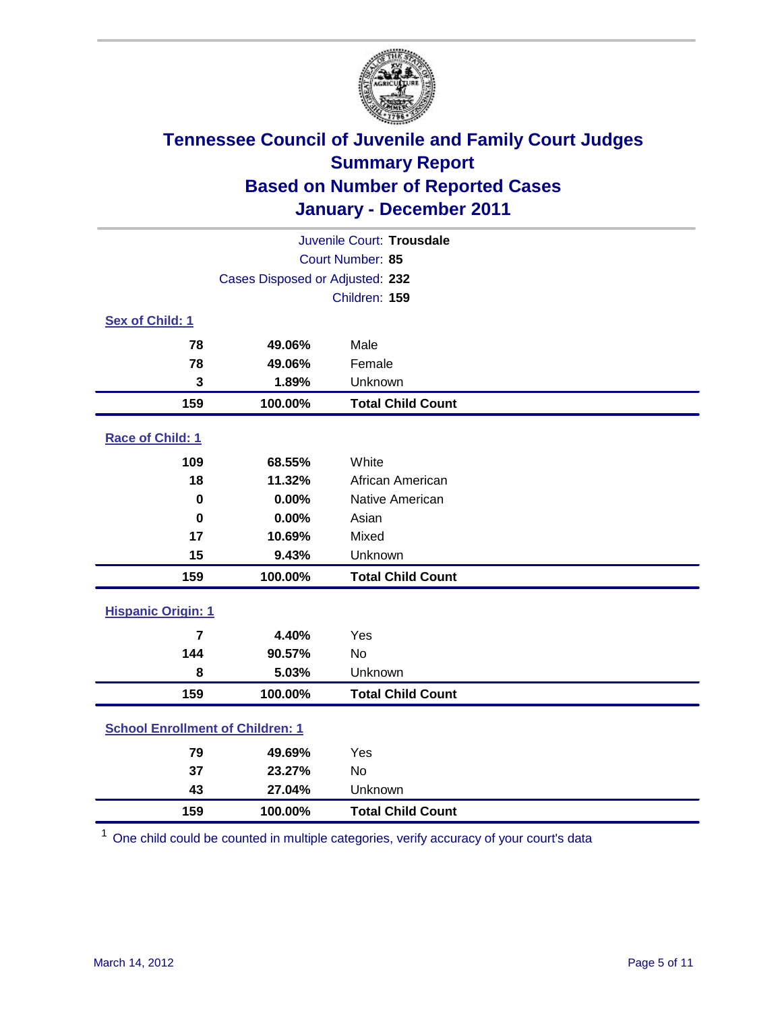

| Juvenile Court: Trousdale                  |                                 |                          |  |  |
|--------------------------------------------|---------------------------------|--------------------------|--|--|
|                                            | Court Number: 85                |                          |  |  |
|                                            | Cases Disposed or Adjusted: 232 |                          |  |  |
|                                            |                                 | Children: 159            |  |  |
| Sex of Child: 1                            |                                 |                          |  |  |
| 78                                         | 49.06%                          | Male                     |  |  |
| 78                                         | 49.06%                          | Female                   |  |  |
| 3                                          | 1.89%                           | Unknown                  |  |  |
| 159                                        | 100.00%                         | <b>Total Child Count</b> |  |  |
| Race of Child: 1                           |                                 |                          |  |  |
| 109                                        | 68.55%                          | White                    |  |  |
| 18                                         | 11.32%                          | African American         |  |  |
| $\mathbf 0$                                | 0.00%                           | Native American          |  |  |
| $\bf{0}$                                   | 0.00%                           | Asian                    |  |  |
| 17                                         | 10.69%                          | Mixed                    |  |  |
| 15                                         | 9.43%                           | Unknown                  |  |  |
| 159                                        | 100.00%                         | <b>Total Child Count</b> |  |  |
| <b>Hispanic Origin: 1</b>                  |                                 |                          |  |  |
| $\overline{7}$                             | 4.40%                           | Yes                      |  |  |
| 144                                        | 90.57%                          | No                       |  |  |
| 8                                          | 5.03%                           | Unknown                  |  |  |
| 159                                        | 100.00%                         | <b>Total Child Count</b> |  |  |
| <b>School Enrollment of Children: 1</b>    |                                 |                          |  |  |
| 79                                         | 49.69%                          | Yes                      |  |  |
| 37                                         | 23.27%                          | No                       |  |  |
| 43                                         | 27.04%                          | Unknown                  |  |  |
| 159<br>100.00%<br><b>Total Child Count</b> |                                 |                          |  |  |

One child could be counted in multiple categories, verify accuracy of your court's data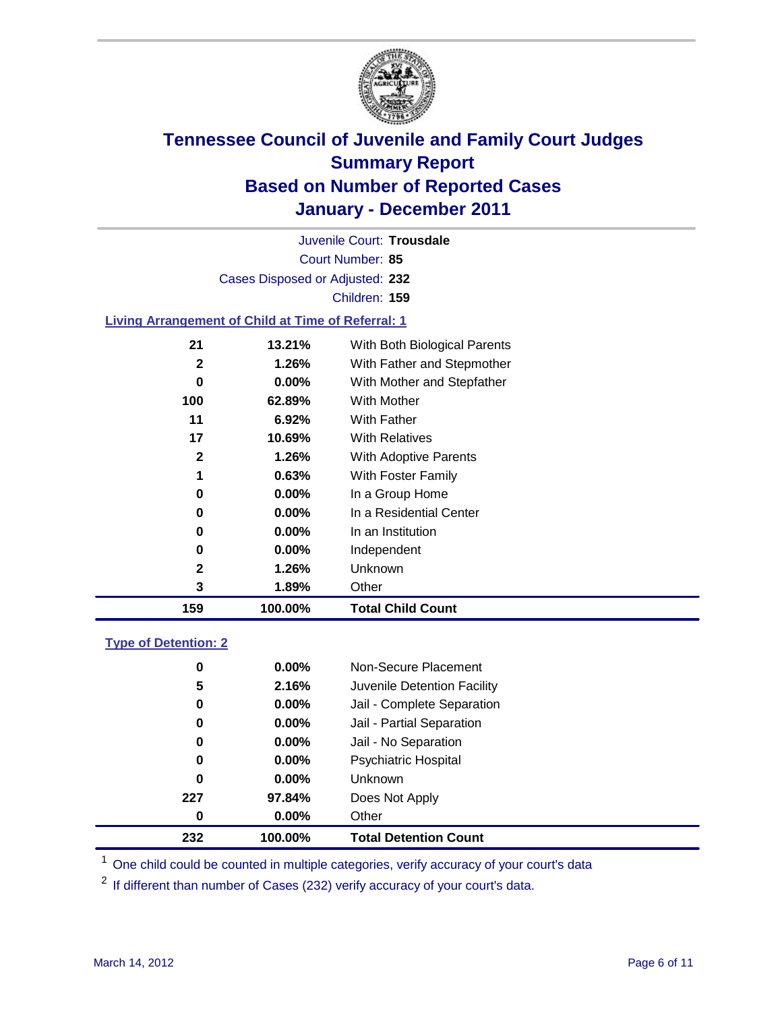

Court Number: **85** Juvenile Court: **Trousdale** Cases Disposed or Adjusted: **232** Children: **159**

### **Living Arrangement of Child at Time of Referral: 1**

| 159          | 100.00%  | <b>Total Child Count</b>     |
|--------------|----------|------------------------------|
| 3            | 1.89%    | Other                        |
| 2            | 1.26%    | <b>Unknown</b>               |
| 0            | $0.00\%$ | Independent                  |
| 0            | 0.00%    | In an Institution            |
| 0            | $0.00\%$ | In a Residential Center      |
| 0            | 0.00%    | In a Group Home              |
| 1            | 0.63%    | With Foster Family           |
| 2            | 1.26%    | With Adoptive Parents        |
| 17           | 10.69%   | <b>With Relatives</b>        |
| 11           | 6.92%    | With Father                  |
| 100          | 62.89%   | With Mother                  |
| 0            | 0.00%    | With Mother and Stepfather   |
| $\mathbf{2}$ | 1.26%    | With Father and Stepmother   |
| 21           | 13.21%   | With Both Biological Parents |
|              |          |                              |

### **Type of Detention: 2**

| 232      | 100.00%  | <b>Total Detention Count</b> |  |
|----------|----------|------------------------------|--|
| 0        | $0.00\%$ | Other                        |  |
| 227      | 97.84%   | Does Not Apply               |  |
| 0        | $0.00\%$ | Unknown                      |  |
| 0        | 0.00%    | <b>Psychiatric Hospital</b>  |  |
| $\bf{0}$ | 0.00%    | Jail - No Separation         |  |
| 0        | $0.00\%$ | Jail - Partial Separation    |  |
| 0        | $0.00\%$ | Jail - Complete Separation   |  |
| 5        | 2.16%    | Juvenile Detention Facility  |  |
| 0        | $0.00\%$ | Non-Secure Placement         |  |
|          |          |                              |  |

<sup>1</sup> One child could be counted in multiple categories, verify accuracy of your court's data

<sup>2</sup> If different than number of Cases (232) verify accuracy of your court's data.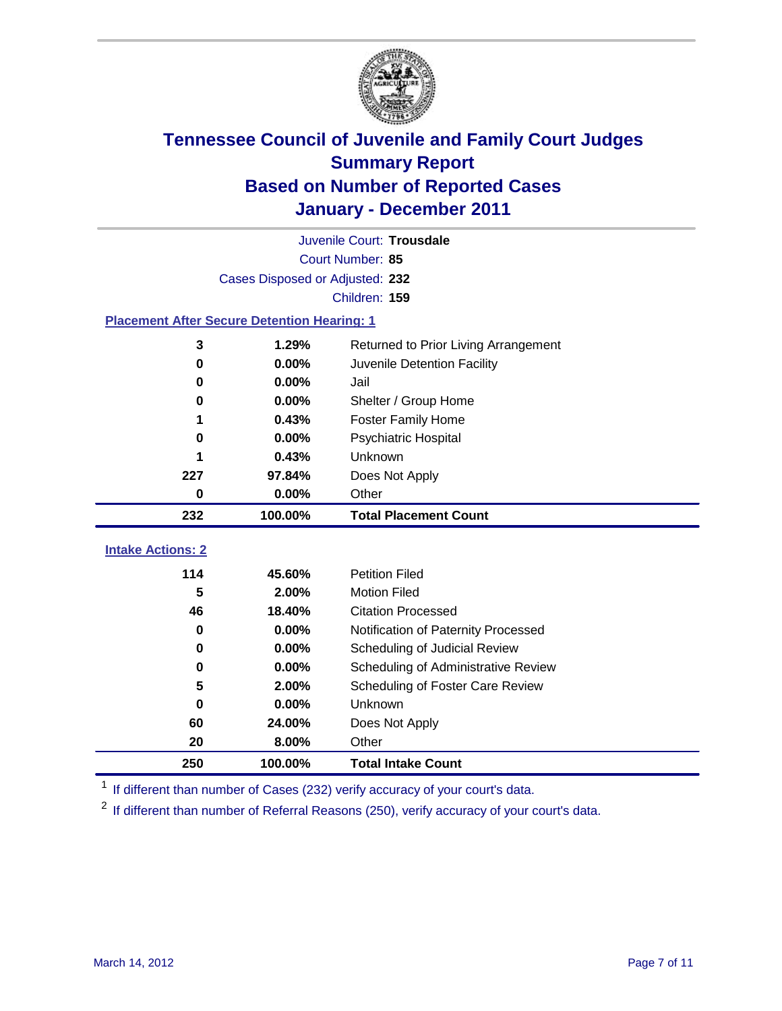

|                                                    | Juvenile Court: Trousdale       |                                     |  |  |  |
|----------------------------------------------------|---------------------------------|-------------------------------------|--|--|--|
|                                                    | Court Number: 85                |                                     |  |  |  |
|                                                    | Cases Disposed or Adjusted: 232 |                                     |  |  |  |
|                                                    |                                 | Children: 159                       |  |  |  |
| <b>Placement After Secure Detention Hearing: 1</b> |                                 |                                     |  |  |  |
| 1.29%<br>3<br>Returned to Prior Living Arrangement |                                 |                                     |  |  |  |
| 0                                                  | 0.00%                           | Juvenile Detention Facility         |  |  |  |
| 0                                                  | 0.00%                           | Jail                                |  |  |  |
| 0                                                  | 0.00%                           | Shelter / Group Home                |  |  |  |
| 1                                                  | 0.43%                           | <b>Foster Family Home</b>           |  |  |  |
| 0                                                  | 0.00%                           | Psychiatric Hospital                |  |  |  |
| 1                                                  | 0.43%                           | Unknown                             |  |  |  |
| 227                                                | 97.84%                          | Does Not Apply                      |  |  |  |
| $\mathbf 0$                                        | 0.00%                           | Other                               |  |  |  |
| 232                                                | 100.00%                         | <b>Total Placement Count</b>        |  |  |  |
| <b>Intake Actions: 2</b>                           |                                 |                                     |  |  |  |
| 114                                                | 45.60%                          | <b>Petition Filed</b>               |  |  |  |
| 5                                                  | 2.00%                           | <b>Motion Filed</b>                 |  |  |  |
| 46                                                 | 18.40%                          | <b>Citation Processed</b>           |  |  |  |
| 0                                                  | 0.00%                           | Notification of Paternity Processed |  |  |  |
| $\bf{0}$                                           | 0.00%                           | Scheduling of Judicial Review       |  |  |  |
| 0                                                  | 0.00%                           | Scheduling of Administrative Review |  |  |  |
| 5                                                  | 2.00%                           | Scheduling of Foster Care Review    |  |  |  |
| $\bf{0}$                                           | 0.00%                           | Unknown                             |  |  |  |
| 60                                                 | 24.00%                          | Does Not Apply                      |  |  |  |
| 20                                                 | 8.00%                           | Other                               |  |  |  |
| 250                                                | 100.00%                         | <b>Total Intake Count</b>           |  |  |  |

<sup>1</sup> If different than number of Cases (232) verify accuracy of your court's data.

<sup>2</sup> If different than number of Referral Reasons (250), verify accuracy of your court's data.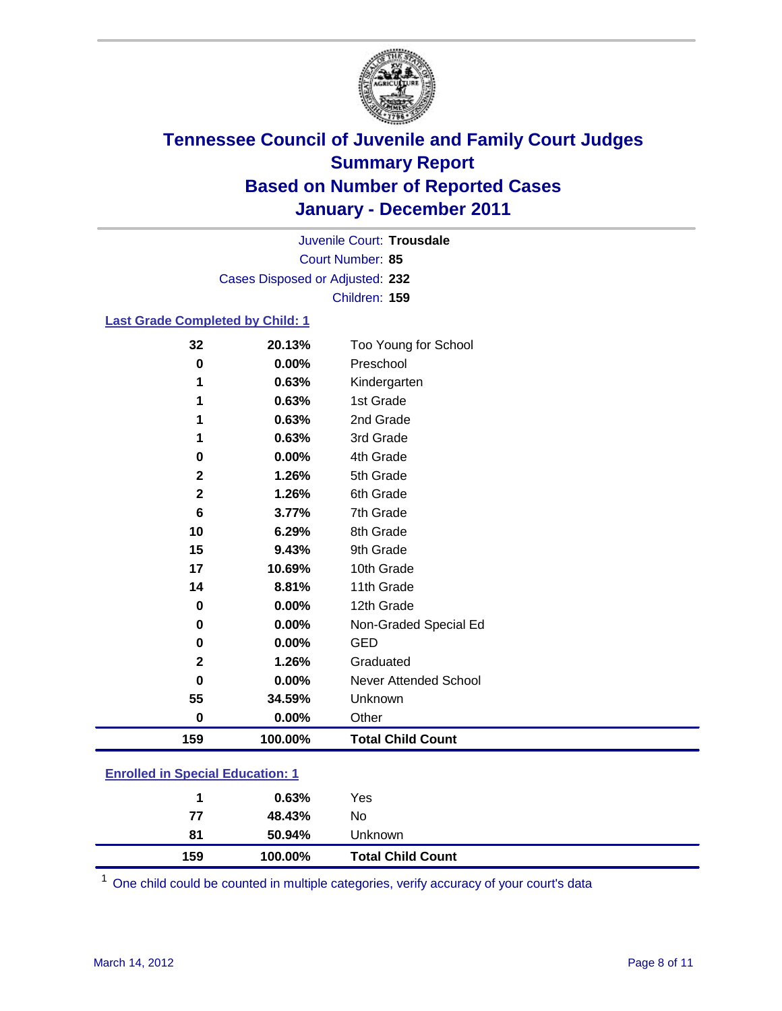

Court Number: **85** Juvenile Court: **Trousdale** Cases Disposed or Adjusted: **232** Children: **159**

### **Last Grade Completed by Child: 1**

| 32                                      | 20.13%  | Too Young for School         |  |
|-----------------------------------------|---------|------------------------------|--|
| 0                                       | 0.00%   | Preschool                    |  |
| 1                                       | 0.63%   | Kindergarten                 |  |
| 1                                       | 0.63%   | 1st Grade                    |  |
| 1                                       | 0.63%   | 2nd Grade                    |  |
| 1                                       | 0.63%   | 3rd Grade                    |  |
| 0                                       | 0.00%   | 4th Grade                    |  |
| $\mathbf{2}$                            | 1.26%   | 5th Grade                    |  |
| 2                                       | 1.26%   | 6th Grade                    |  |
| 6                                       | 3.77%   | 7th Grade                    |  |
| 10                                      | 6.29%   | 8th Grade                    |  |
| 15                                      | 9.43%   | 9th Grade                    |  |
| 17                                      | 10.69%  | 10th Grade                   |  |
| 14                                      | 8.81%   | 11th Grade                   |  |
| $\bf{0}$                                | 0.00%   | 12th Grade                   |  |
| 0                                       | 0.00%   | Non-Graded Special Ed        |  |
| 0                                       | 0.00%   | <b>GED</b>                   |  |
| $\mathbf 2$                             | 1.26%   | Graduated                    |  |
| 0                                       | 0.00%   | <b>Never Attended School</b> |  |
| 55                                      | 34.59%  | Unknown                      |  |
| $\mathbf 0$                             | 0.00%   | Other                        |  |
| 159                                     | 100.00% | <b>Total Child Count</b>     |  |
| <b>Enrolled in Special Education: 1</b> |         |                              |  |

| 159                                   | 100.00% | <b>Total Child Count</b> |  |  |
|---------------------------------------|---------|--------------------------|--|--|
| 81                                    | 50.94%  | Unknown                  |  |  |
| 77                                    | 48.43%  | No                       |  |  |
|                                       | 0.63%   | Yes                      |  |  |
| <u>Embreu III opecial Eugeanon. T</u> |         |                          |  |  |

One child could be counted in multiple categories, verify accuracy of your court's data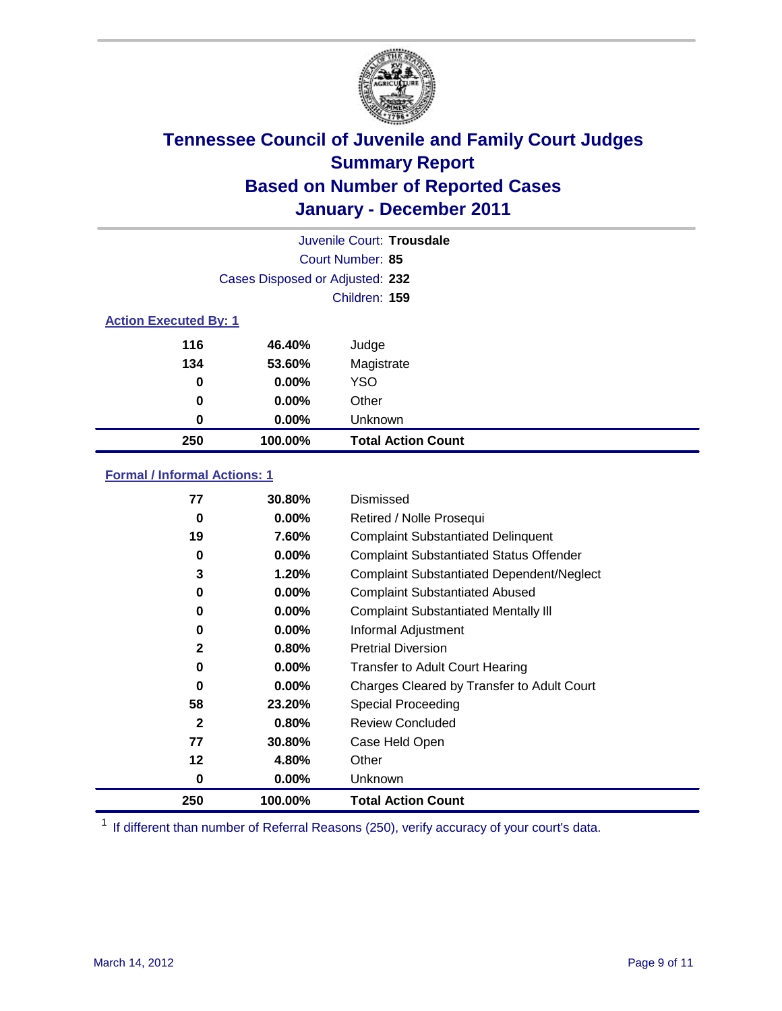

|                              |                                 | Juvenile Court: Trousdale |  |
|------------------------------|---------------------------------|---------------------------|--|
| Court Number: 85             |                                 |                           |  |
|                              | Cases Disposed or Adjusted: 232 |                           |  |
|                              |                                 | Children: 159             |  |
| <b>Action Executed By: 1</b> |                                 |                           |  |
| 116                          | 46.40%                          | Judge                     |  |
| 134                          | 53.60%                          | Magistrate                |  |
| 0                            | 0.00%                           | <b>YSO</b>                |  |
| 0                            | 0.00%                           | Other                     |  |
| 0                            | 0.00%                           | Unknown                   |  |
| 250                          | 100.00%                         | <b>Total Action Count</b> |  |

### **Formal / Informal Actions: 1**

| 77           | <b>30.80%</b> | Dismissed                                        |
|--------------|---------------|--------------------------------------------------|
| 0            | $0.00\%$      | Retired / Nolle Prosequi                         |
| 19           | 7.60%         | <b>Complaint Substantiated Delinquent</b>        |
| 0            | $0.00\%$      | <b>Complaint Substantiated Status Offender</b>   |
| 3            | 1.20%         | <b>Complaint Substantiated Dependent/Neglect</b> |
| 0            | 0.00%         | <b>Complaint Substantiated Abused</b>            |
| $\bf{0}$     | $0.00\%$      | <b>Complaint Substantiated Mentally III</b>      |
| 0            | $0.00\%$      | Informal Adjustment                              |
| 2            | 0.80%         | <b>Pretrial Diversion</b>                        |
| 0            | $0.00\%$      | <b>Transfer to Adult Court Hearing</b>           |
| $\bf{0}$     | $0.00\%$      | Charges Cleared by Transfer to Adult Court       |
| 58           | 23.20%        | Special Proceeding                               |
| $\mathbf{2}$ | 0.80%         | <b>Review Concluded</b>                          |
| 77           | 30.80%        | Case Held Open                                   |
| 12           | 4.80%         | Other                                            |
| 0            | $0.00\%$      | Unknown                                          |
| 250          | 100.00%       | <b>Total Action Count</b>                        |

<sup>1</sup> If different than number of Referral Reasons (250), verify accuracy of your court's data.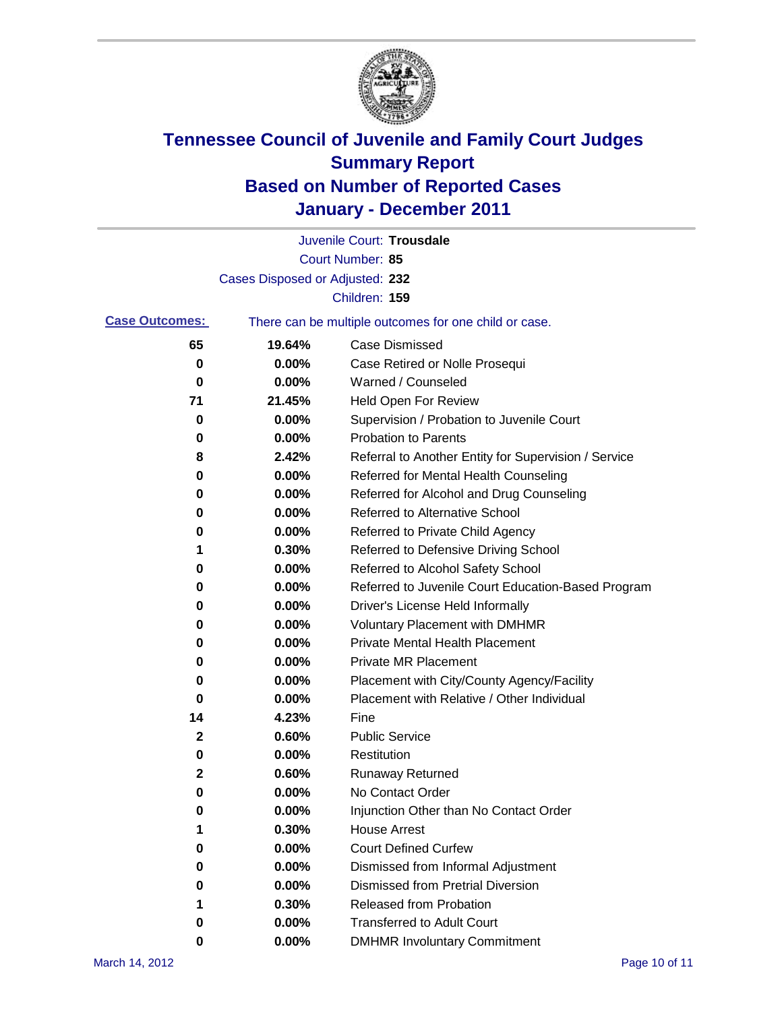

|                       |                                 | Juvenile Court: Trousdale                             |
|-----------------------|---------------------------------|-------------------------------------------------------|
|                       |                                 | Court Number: 85                                      |
|                       | Cases Disposed or Adjusted: 232 |                                                       |
|                       |                                 | Children: 159                                         |
| <b>Case Outcomes:</b> |                                 | There can be multiple outcomes for one child or case. |
| 65                    | 19.64%                          | <b>Case Dismissed</b>                                 |
| 0                     | 0.00%                           | Case Retired or Nolle Prosequi                        |
| 0                     | 0.00%                           | Warned / Counseled                                    |
| 71                    | 21.45%                          | Held Open For Review                                  |
| 0                     | 0.00%                           | Supervision / Probation to Juvenile Court             |
| 0                     | 0.00%                           | <b>Probation to Parents</b>                           |
| 8                     | 2.42%                           | Referral to Another Entity for Supervision / Service  |
| 0                     | 0.00%                           | Referred for Mental Health Counseling                 |
| 0                     | 0.00%                           | Referred for Alcohol and Drug Counseling              |
| 0                     | 0.00%                           | <b>Referred to Alternative School</b>                 |
| 0                     | 0.00%                           | Referred to Private Child Agency                      |
| 1                     | 0.30%                           | Referred to Defensive Driving School                  |
| 0                     | 0.00%                           | Referred to Alcohol Safety School                     |
| 0                     | 0.00%                           | Referred to Juvenile Court Education-Based Program    |
| 0                     | 0.00%                           | Driver's License Held Informally                      |
| 0                     | 0.00%                           | <b>Voluntary Placement with DMHMR</b>                 |
| 0                     | 0.00%                           | <b>Private Mental Health Placement</b>                |
| 0                     | 0.00%                           | <b>Private MR Placement</b>                           |
| 0                     | 0.00%                           | Placement with City/County Agency/Facility            |
| 0                     | 0.00%                           | Placement with Relative / Other Individual            |
| 14                    | 4.23%                           | Fine                                                  |
| 2                     | 0.60%                           | <b>Public Service</b>                                 |
| 0                     | 0.00%                           | Restitution                                           |
| 2                     | 0.60%                           | <b>Runaway Returned</b>                               |
| 0                     | 0.00%                           | No Contact Order                                      |
| 0                     | 0.00%                           | Injunction Other than No Contact Order                |
|                       | 0.30%                           | <b>House Arrest</b>                                   |
| 0                     | $0.00\%$                        | <b>Court Defined Curfew</b>                           |
| 0                     | $0.00\%$                        | Dismissed from Informal Adjustment                    |
| 0                     | $0.00\%$                        | <b>Dismissed from Pretrial Diversion</b>              |
| 1                     | 0.30%                           | Released from Probation                               |
| 0                     | $0.00\%$                        | <b>Transferred to Adult Court</b>                     |
| 0                     | 0.00%                           | <b>DMHMR Involuntary Commitment</b>                   |